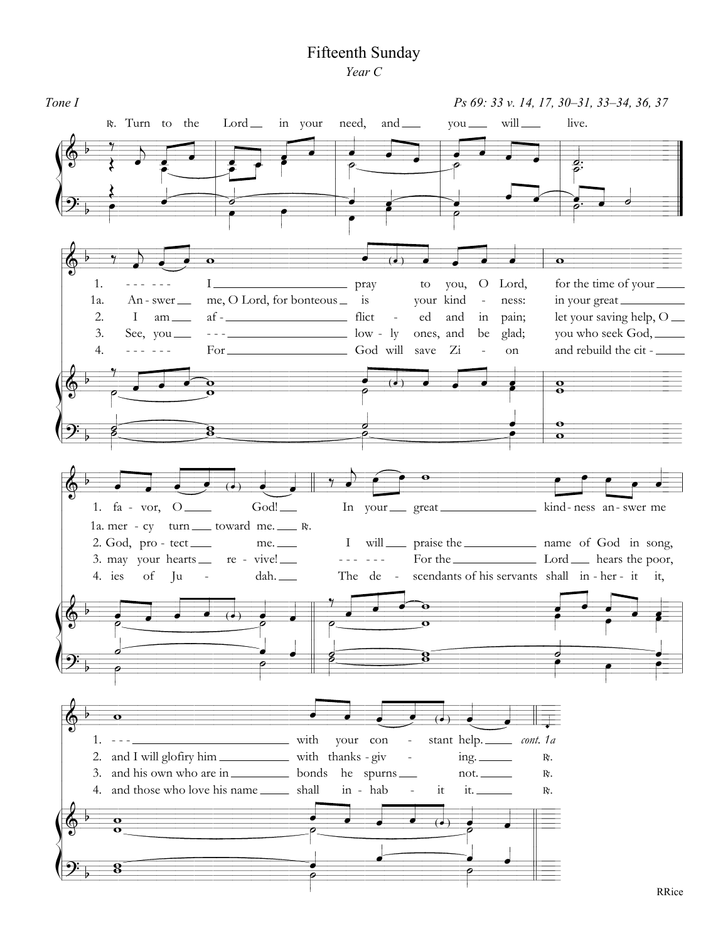## Fifteenth Sunday Year C